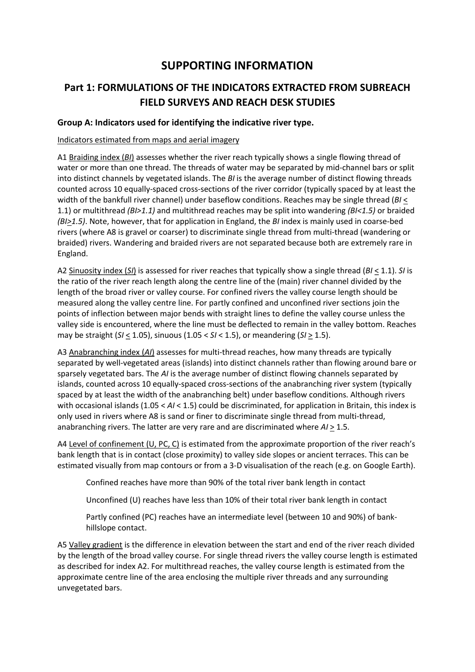## SUPPORTING INFORMATION

### Part 1: FORMULATIONS OF THE INDICATORS EXTRACTED FROM SUBREACH FIELD SURVEYS AND REACH DESK STUDIES

#### Group A: Indicators used for identifying the indicative river type.

#### Indicators estimated from maps and aerial imagery

A1 Braiding index  $(B)$  assesses whether the river reach typically shows a single flowing thread of water or more than one thread. The threads of water may be separated by mid-channel bars or split into distinct channels by vegetated islands. The  $B$ I is the average number of distinct flowing threads counted across 10 equally-spaced cross-sections of the river corridor (typically spaced by at least the width of the bankfull river channel) under baseflow conditions. Reaches may be single thread ( $B$ I < 1.1) or multithread  $(B/1.1)$  and multithread reaches may be split into wandering  $(B/1.5)$  or braided  $(B1>1.5)$ . Note, however, that for application in England, the BI index is mainly used in coarse-bed rivers (where A8 is gravel or coarser) to discriminate single thread from multi-thread (wandering or braided) rivers. Wandering and braided rivers are not separated because both are extremely rare in England.

A2 Sinuosity index (SI) is assessed for river reaches that typically show a single thread (BI < 1.1). SI is the ratio of the river reach length along the centre line of the (main) river channel divided by the length of the broad river or valley course. For confined rivers the valley course length should be measured along the valley centre line. For partly confined and unconfined river sections join the points of inflection between major bends with straight lines to define the valley course unless the valley side is encountered, where the line must be deflected to remain in the valley bottom. Reaches may be straight (SI  $\leq$  1.05), sinuous (1.05 < SI < 1.5), or meandering (SI  $\geq$  1.5).

A3 Anabranching index (AI) assesses for multi-thread reaches, how many threads are typically separated by well-vegetated areas (islands) into distinct channels rather than flowing around bare or sparsely vegetated bars. The AI is the average number of distinct flowing channels separated by islands, counted across 10 equally-spaced cross-sections of the anabranching river system (typically spaced by at least the width of the anabranching belt) under baseflow conditions. Although rivers with occasional islands  $(1.05 < A/ < 1.5)$  could be discriminated, for application in Britain, this index is only used in rivers where A8 is sand or finer to discriminate single thread from multi-thread, anabranching rivers. The latter are very rare and are discriminated where  $A/\geq 1.5$ .

A4 Level of confinement (U, PC, C) is estimated from the approximate proportion of the river reach's bank length that is in contact (close proximity) to valley side slopes or ancient terraces. This can be estimated visually from map contours or from a 3-D visualisation of the reach (e.g. on Google Earth).

Confined reaches have more than 90% of the total river bank length in contact

Unconfined (U) reaches have less than 10% of their total river bank length in contact

Partly confined (PC) reaches have an intermediate level (between 10 and 90%) of bankhillslope contact.

A5 Valley gradient is the difference in elevation between the start and end of the river reach divided by the length of the broad valley course. For single thread rivers the valley course length is estimated as described for index A2. For multithread reaches, the valley course length is estimated from the approximate centre line of the area enclosing the multiple river threads and any surrounding unvegetated bars.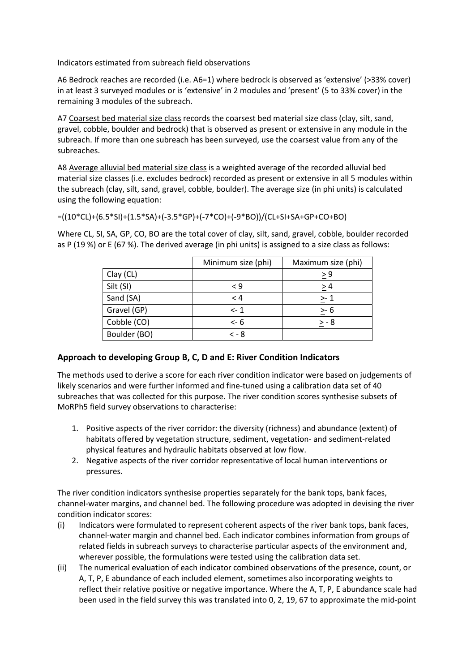#### Indicators estimated from subreach field observations

A6 Bedrock reaches are recorded (i.e. A6=1) where bedrock is observed as 'extensive' (>33% cover) in at least 3 surveyed modules or is 'extensive' in 2 modules and 'present' (5 to 33% cover) in the remaining 3 modules of the subreach.

A7 Coarsest bed material size class records the coarsest bed material size class (clay, silt, sand, gravel, cobble, boulder and bedrock) that is observed as present or extensive in any module in the subreach. If more than one subreach has been surveyed, use the coarsest value from any of the subreaches.

A8 Average alluvial bed material size class is a weighted average of the recorded alluvial bed material size classes (i.e. excludes bedrock) recorded as present or extensive in all 5 modules within the subreach (clay, silt, sand, gravel, cobble, boulder). The average size (in phi units) is calculated using the following equation:

```
=((10*CL)+(6.5*SI)+(1.5*SA)+(-3.5*GP)+(-7*CO)+(-9*BO))/(CL+SI+SA+GP+CO+BO)
```
Where CL, SI, SA, GP, CO, BO are the total cover of clay, silt, sand, gravel, cobble, boulder recorded as P (19 %) or E (67 %). The derived average (in phi units) is assigned to a size class as follows:

|              | Minimum size (phi) | Maximum size (phi) |
|--------------|--------------------|--------------------|
| Clay (CL)    |                    | > 9                |
| Silt (SI)    | < 9                | > 4                |
| Sand (SA)    | < 4                | $> -1$             |
| Gravel (GP)  | $\leftarrow$ 1     | $> -6$             |
| Cobble (CO)  | $\leq$ 6           | > - 8              |
| Boulder (BO) | $< -8$             |                    |

### Approach to developing Group B, C, D and E: River Condition Indicators

The methods used to derive a score for each river condition indicator were based on judgements of likely scenarios and were further informed and fine-tuned using a calibration data set of 40 subreaches that was collected for this purpose. The river condition scores synthesise subsets of MoRPh5 field survey observations to characterise:

- 1. Positive aspects of the river corridor: the diversity (richness) and abundance (extent) of habitats offered by vegetation structure, sediment, vegetation- and sediment-related physical features and hydraulic habitats observed at low flow.
- 2. Negative aspects of the river corridor representative of local human interventions or pressures.

The river condition indicators synthesise properties separately for the bank tops, bank faces, channel-water margins, and channel bed. The following procedure was adopted in devising the river condition indicator scores:

- (i) Indicators were formulated to represent coherent aspects of the river bank tops, bank faces, channel-water margin and channel bed. Each indicator combines information from groups of related fields in subreach surveys to characterise particular aspects of the environment and, wherever possible, the formulations were tested using the calibration data set.
- (ii) The numerical evaluation of each indicator combined observations of the presence, count, or A, T, P, E abundance of each included element, sometimes also incorporating weights to reflect their relative positive or negative importance. Where the A, T, P, E abundance scale had been used in the field survey this was translated into 0, 2, 19, 67 to approximate the mid-point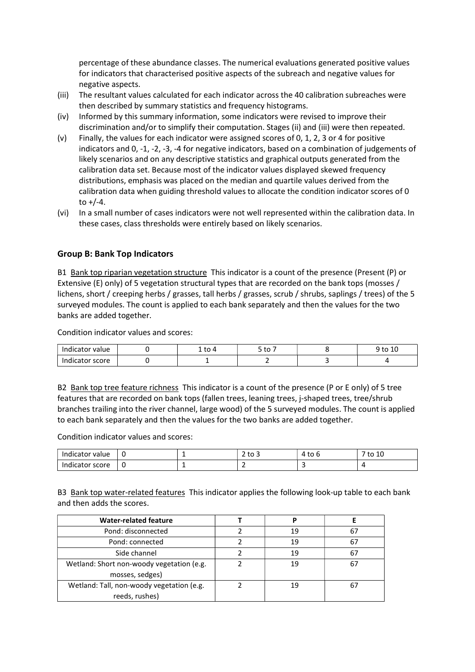percentage of these abundance classes. The numerical evaluations generated positive values for indicators that characterised positive aspects of the subreach and negative values for negative aspects.

- (iii) The resultant values calculated for each indicator across the 40 calibration subreaches were then described by summary statistics and frequency histograms.
- (iv) Informed by this summary information, some indicators were revised to improve their discrimination and/or to simplify their computation. Stages (ii) and (iii) were then repeated.
- (v) Finally, the values for each indicator were assigned scores of 0, 1, 2, 3 or 4 for positive indicators and 0, -1, -2, -3, -4 for negative indicators, based on a combination of judgements of likely scenarios and on any descriptive statistics and graphical outputs generated from the calibration data set. Because most of the indicator values displayed skewed frequency distributions, emphasis was placed on the median and quartile values derived from the calibration data when guiding threshold values to allocate the condition indicator scores of 0 to  $+/-4$ .
- (vi) In a small number of cases indicators were not well represented within the calibration data. In these cases, class thresholds were entirely based on likely scenarios.

#### Group B: Bank Top Indicators

B1 Bank top riparian vegetation structure This indicator is a count of the presence (Present (P) or Extensive (E) only) of 5 vegetation structural types that are recorded on the bank tops (mosses / lichens, short / creeping herbs / grasses, tall herbs / grasses, scrub / shrubs, saplings / trees) of the 5 surveyed modules. The count is applied to each bank separately and then the values for the two banks are added together.

Condition indicator values and scores:

| value<br>cator<br>н | $\overline{a}$ | $+c$<br>ີ | $\overline{ }$<br>to<br>ᅶ |
|---------------------|----------------|-----------|---------------------------|
| score<br>aicator    |                |           |                           |

B2 Bank top tree feature richness This indicator is a count of the presence (P or E only) of 5 tree features that are recorded on bank tops (fallen trees, leaning trees, j-shaped trees, tree/shrub branches trailing into the river channel, large wood) of the 5 surveyed modules. The count is applied to each bank separately and then the values for the two banks are added together.

Condition indicator values and scores:

| Indicator value    | -0 |   | $\sim$<br>ັບ ບ | to<br>v | to 10 |
|--------------------|----|---|----------------|---------|-------|
| Indicator<br>score | U  | - |                |         |       |

B3 Bank top water-related features This indicator applies the following look-up table to each bank and then adds the scores.

| <b>Water-related feature</b>              |    |    |
|-------------------------------------------|----|----|
| Pond: disconnected                        | 19 | 67 |
| Pond: connected                           | 19 | 67 |
| Side channel                              | 19 | 67 |
| Wetland: Short non-woody vegetation (e.g. | 19 |    |
| mosses, sedges)                           |    |    |
| Wetland: Tall, non-woody vegetation (e.g. | 19 |    |
| reeds, rushes)                            |    |    |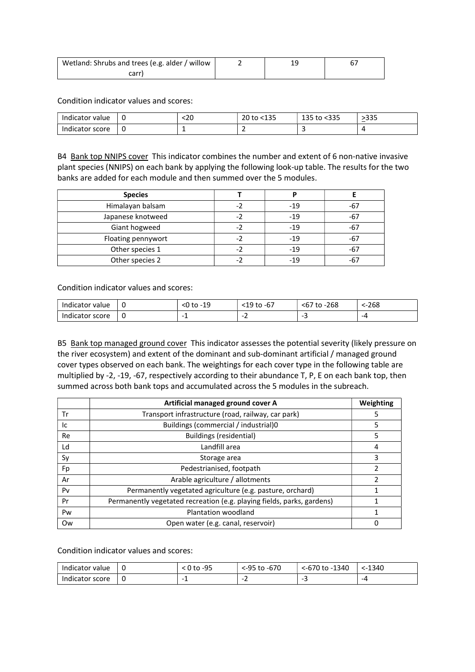| Wetland: Shrubs and trees (e.g. alder / willow |  |  |
|------------------------------------------------|--|--|
| carr                                           |  |  |

Condition indicator values and scores:

| Indicator value    | - 6 | <∠u | $-4.2F$<br><u>ገባ to &lt;.</u><br>∸∽ | $-222$<br>125L<br>$+ \sim$<br>⊥ລວ<br>ιυ<br>៶ບບ | 225<br>נככי<br>_ |
|--------------------|-----|-----|-------------------------------------|------------------------------------------------|------------------|
| Indicator<br>score | ്പം |     | -                                   |                                                |                  |

B4 Bank top NNIPS cover This indicator combines the number and extent of 6 non-native invasive plant species (NNIPS) on each bank by applying the following look-up table. The results for the two banks are added for each module and then summed over the 5 modules.

| <b>Species</b>     |     | D     |       |
|--------------------|-----|-------|-------|
| Himalayan balsam   |     | $-19$ | -67   |
| Japanese knotweed  | - 2 | $-19$ | -67   |
| Giant hogweed      |     | $-19$ | -67   |
| Floating pennywort |     | $-19$ | -67   |
| Other species 1    | - 2 | $-19$ | -67   |
| Other species 2    |     | $-19$ | $-67$ |

Condition indicator values and scores:

| value<br>זור<br>cator | u | 10<br>to<br>՝<br>-- | $\sim$<br>م م.<br>$+ \sim$<br>-ь,<br>◡<br>ر _<br>w | 268<br>٠υ<br>, ט | ⊱268 |
|-----------------------|---|---------------------|----------------------------------------------------|------------------|------|
| score<br>aicator      | u | <b>.</b>            | $\overline{\phantom{a}}$                           |                  | -4   |

B5 Bank top managed ground cover This indicator assesses the potential severity (likely pressure on the river ecosystem) and extent of the dominant and sub-dominant artificial / managed ground cover types observed on each bank. The weightings for each cover type in the following table are multiplied by -2, -19, -67, respectively according to their abundance T, P, E on each bank top, then summed across both bank tops and accumulated across the 5 modules in the subreach.

|    | Artificial managed ground cover A                                      | Weighting |
|----|------------------------------------------------------------------------|-----------|
| Tr | Transport infrastructure (road, railway, car park)                     | 5         |
| Ic | Buildings (commercial / industrial)0                                   | 5         |
| Re | Buildings (residential)                                                | 5         |
| Ld | Landfill area                                                          | 4         |
| Sy | Storage area                                                           | 3         |
| Fp | Pedestrianised, footpath                                               | 2         |
| Ar | Arable agriculture / allotments                                        | 2         |
| Pv | Permanently vegetated agriculture (e.g. pasture, orchard)              |           |
| Pr | Permanently vegetated recreation (e.g. playing fields, parks, gardens) |           |
| Pw | Plantation woodland                                                    |           |
| Ow | Open water (e.g. canal, reservoir)                                     |           |

| Indicator value | <u>. L</u> | -95<br>to | <-95 to -670 | 1340<br>$\sim$ <-670 to -11 | 1340<br>$\epsilon$ – |
|-----------------|------------|-----------|--------------|-----------------------------|----------------------|
| Indicator score | u          | -         | -            |                             | -4                   |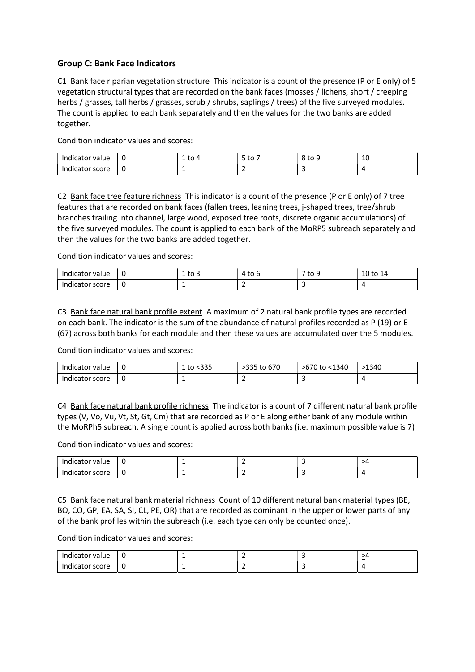#### Group C: Bank Face Indicators

C1 Bank face riparian vegetation structure This indicator is a count of the presence (P or E only) of 5 vegetation structural types that are recorded on the bank faces (mosses / lichens, short / creeping herbs / grasses, tall herbs / grasses, scrub / shrubs, saplings / trees) of the five surveyed modules. The count is applied to each bank separately and then the values for the two banks are added together.

Condition indicator values and scores:

| Indicator<br>value : | - C | . .<br>ີ | to<br>- | <sup>ৰ</sup> to ∋ | -<br>∸∼<br>__ |
|----------------------|-----|----------|---------|-------------------|---------------|
| score<br>Indicator   | -U  |          | -       | . .               |               |

C2 Bank face tree feature richness This indicator is a count of the presence (P or E only) of 7 tree features that are recorded on bank faces (fallen trees, leaning trees, j-shaped trees, tree/shrub branches trailing into channel, large wood, exposed tree roots, discrete organic accumulations) of the five surveyed modules. The count is applied to each bank of the MoRP5 subreach separately and then the values for the two banks are added together.

Condition indicator values and scores:

| Indicator value    | u | to 3<br>- | ີ | ' to<br>∼ | 10 to<br>. .<br><b>.</b> |
|--------------------|---|-----------|---|-----------|--------------------------|
| Indicator<br>score | u | -         | - |           |                          |

C3 Bank face natural bank profile extent A maximum of 2 natural bank profile types are recorded on each bank. The indicator is the sum of the abundance of natural profiles recorded as P (19) or E (67) across both banks for each module and then these values are accumulated over the 5 modules.

Condition indicator values and scores:

| Indicator value |    | ៶ບບ<br>ິ | 670<br>>335 to | >670 to <1340 | 1340ء<br>__ |
|-----------------|----|----------|----------------|---------------|-------------|
| Indicator score | J. |          | -              |               |             |

C4 Bank face natural bank profile richness The indicator is a count of 7 different natural bank profile types (V, Vo, Vu, Vt, St, Gt, Cm) that are recorded as P or E along either bank of any module within the MoRPh5 subreach. A single count is applied across both banks (i.e. maximum possible value is 7)

Condition indicator values and scores:

| 'ndicator<br>value | . U |  | $\sim$ |
|--------------------|-----|--|--------|
| Indicator<br>score | u   |  |        |

C5 Bank face natural bank material richness Count of 10 different natural bank material types (BE, BO, CO, GP, EA, SA, SI, CL, PE, OR) that are recorded as dominant in the upper or lower parts of any of the bank profiles within the subreach (i.e. each type can only be counted once).

| Indicator<br>value |   |   | >4<br><b>__</b> |
|--------------------|---|---|-----------------|
| score<br>Indicator | - | - |                 |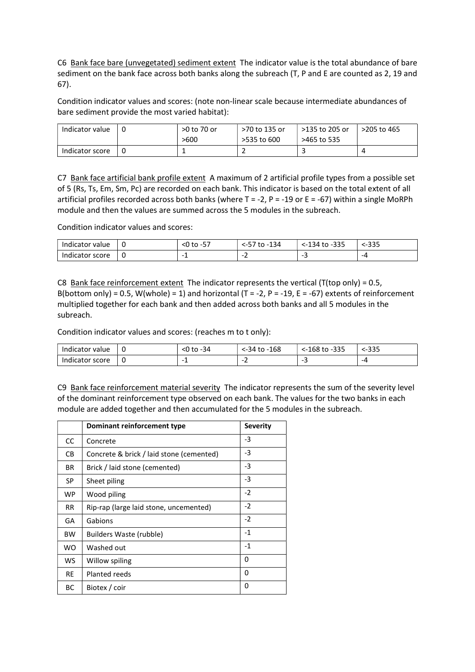C6 Bank face bare (unvegetated) sediment extent The indicator value is the total abundance of bare sediment on the bank face across both banks along the subreach (T, P and E are counted as 2, 19 and 67).

Condition indicator values and scores: (note non-linear scale because intermediate abundances of bare sediment provide the most varied habitat):

| Indicator value | >0 to 70 or | >70 to 135 or | >135 to 205 or | >205 to 465 |
|-----------------|-------------|---------------|----------------|-------------|
|                 | >600        | >535 to 600   | >465 to 535    |             |
| Indicator score |             |               |                |             |

C7 Bank face artificial bank profile extent A maximum of 2 artificial profile types from a possible set of 5 (Rs, Ts, Em, Sm, Pc) are recorded on each bank. This indicator is based on the total extent of all artificial profiles recorded across both banks (where  $T = -2$ ,  $P = -19$  or  $E = -67$ ) within a single MoRPh module and then the values are summed across the 5 modules in the subreach.

Condition indicator values and scores:

| Indicator value | ı | --<br><0 to -57 | 134<br>`to -.<br><-57 | $-335$<br><-134 to | ⊱335 |
|-----------------|---|-----------------|-----------------------|--------------------|------|
| Indicator score |   | <b>.</b>        | -                     |                    | -4   |

C8 Bank face reinforcement extent The indicator represents the vertical (T(top only) = 0.5, B(bottom only) = 0.5, W(whole) = 1) and horizontal (T = -2, P = -19, E = -67) extents of reinforcement multiplied together for each bank and then added across both banks and all 5 modules in the subreach.

Condition indicator values and scores: (reaches m to t only):

| Indicator<br>value: | -34    | 168<br>to<br>-34> | $-335$<br>168 to | <-335 |
|---------------------|--------|-------------------|------------------|-------|
| score<br>Indicator  | ۰<br>- | -                 | --               | -4    |

C9 Bank face reinforcement material severity The indicator represents the sum of the severity level of the dominant reinforcement type observed on each bank. The values for the two banks in each module are added together and then accumulated for the 5 modules in the subreach.

|           | Dominant reinforcement type              | <b>Severity</b> |
|-----------|------------------------------------------|-----------------|
| CC        | Concrete                                 | -3              |
| CВ        | Concrete & brick / laid stone (cemented) | -3              |
| BR        | Brick / laid stone (cemented)            | $-3$            |
| SP        | Sheet piling                             | $-3$            |
| <b>WP</b> | Wood piling                              | $-2$            |
| RR.       | Rip-rap (large laid stone, uncemented)   | $-2$            |
| GA        | Gabions                                  | $-2$            |
| <b>BW</b> | Builders Waste (rubble)                  | $-1$            |
| <b>WO</b> | Washed out                               | $-1$            |
| <b>WS</b> | Willow spiling                           | 0               |
| <b>RE</b> | Planted reeds                            | 0               |
| BС        | Biotex / coir                            | 0               |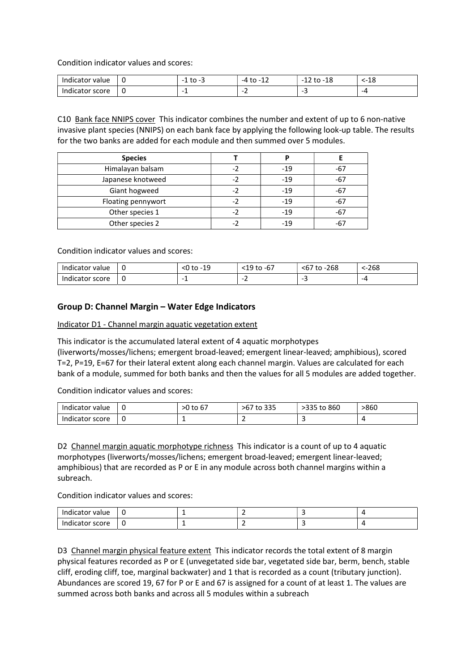Condition indicator values and scores:

| Indica:<br>value<br>cator | u | $+ -$<br>$\cdots$<br>w<br>۔<br>- | $+ -$<br>-4<br>ᅩ         | 1 O<br>to<br>-10<br>$\overline{\phantom{0}}$<br>-- | 1 ຕ<br>ە⊥-. |
|---------------------------|---|----------------------------------|--------------------------|----------------------------------------------------|-------------|
| score<br>Indicator        | u | <b>.</b>                         | $\overline{\phantom{0}}$ | -                                                  | -4          |

C10 Bank face NNIPS cover This indicator combines the number and extent of up to 6 non-native invasive plant species (NNIPS) on each bank face by applying the following look-up table. The results for the two banks are added for each module and then summed over 5 modules.

| <b>Species</b>     |     |       |       |
|--------------------|-----|-------|-------|
| Himalayan balsam   | - 2 | $-19$ | -67   |
| Japanese knotweed  | -2  | $-19$ | $-67$ |
| Giant hogweed      | - 7 | $-19$ | $-67$ |
| Floating pennywort | - 2 | $-19$ | $-67$ |
| Other species 1    | -2  | $-19$ | $-67$ |
| Other species 2    |     | $-19$ | -67   |

Condition indicator values and scores:

| Indicator value | - 6        | 19<br>م.<br>to<br>ש | $\sim$<br><19 to<br>-67 | to -268<br>$-$<br><b,< th=""><th>⊱268</th></b,<> | ⊱268 |
|-----------------|------------|---------------------|-------------------------|--------------------------------------------------|------|
| Indicator score | <u>. u</u> | . .                 | -<br>-                  |                                                  | -4   |

#### Group D: Channel Margin – Water Edge Indicators

Indicator D1 - Channel margin aquatic vegetation extent

This indicator is the accumulated lateral extent of 4 aquatic morphotypes (liverworts/mosses/lichens; emergent broad-leaved; emergent linear-leaved; amphibious), scored T=2, P=19, E=67 for their lateral extent along each channel margin. Values are calculated for each bank of a module, summed for both banks and then the values for all 5 modules are added together.

Condition indicator values and scores:

| Indicator value | ്ധ  | $\overline{\phantom{a}}$<br>>0 to 67 | 335<br>>67<br>to | 335 to 860<br>- 2333 | >860 |
|-----------------|-----|--------------------------------------|------------------|----------------------|------|
| Indicator score | . ա |                                      |                  |                      |      |

D2 Channel margin aquatic morphotype richness This indicator is a count of up to 4 aquatic morphotypes (liverworts/mosses/lichens; emergent broad-leaved; emergent linear-leaved; amphibious) that are recorded as P or E in any module across both channel margins within a subreach.

Condition indicator values and scores:

| Indicator value                 | ı |   |  |
|---------------------------------|---|---|--|
| Indicator<br>score <sup>.</sup> | u | - |  |

D3 Channel margin physical feature extent This indicator records the total extent of 8 margin physical features recorded as P or E (unvegetated side bar, vegetated side bar, berm, bench, stable cliff, eroding cliff, toe, marginal backwater) and 1 that is recorded as a count (tributary junction). Abundances are scored 19, 67 for P or E and 67 is assigned for a count of at least 1. The values are summed across both banks and across all 5 modules within a subreach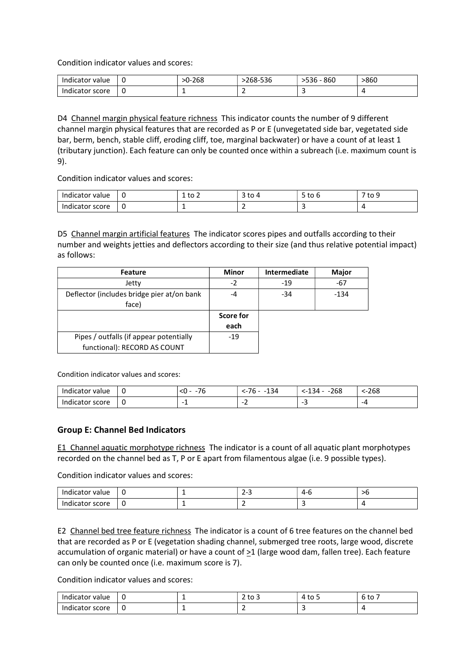Condition indicator values and scores:

| Indicator value | ື | -268<br>. | . <i>.</i><br>$268 -$<br>ಾತರಿ | 860<br>סככי | 860> |
|-----------------|---|-----------|-------------------------------|-------------|------|
| Indicator score | u |           | -                             |             |      |

D4 Channel margin physical feature richness This indicator counts the number of 9 different channel margin physical features that are recorded as P or E (unvegetated side bar, vegetated side bar, berm, bench, stable cliff, eroding cliff, toe, marginal backwater) or have a count of at least 1 (tributary junction). Each feature can only be counted once within a subreach (i.e. maximum count is 9).

Condition indicator values and scores:

| Indicator value |     | -<br>$+ \sim$<br>LU 4<br>- | $\sim$<br>ີ<br><u>.</u> | -<br>$+ \circ$<br><u>J ເບ</u><br>u | $7$ to $\overline{ }$ |
|-----------------|-----|----------------------------|-------------------------|------------------------------------|-----------------------|
| Indicator score | . . | -                          | -                       |                                    |                       |

D5 Channel margin artificial features The indicator scores pipes and outfalls according to their number and weights jetties and deflectors according to their size (and thus relative potential impact) as follows:

| <b>Feature</b>                                      | <b>Minor</b> | Intermediate | Major  |
|-----------------------------------------------------|--------------|--------------|--------|
| Jetty                                               | $-2$         | $-19$        | -67    |
| Deflector (includes bridge pier at/on bank<br>face) | -4           | $-34$        | $-134$ |
|                                                     | Score for    |              |        |
|                                                     | each         |              |        |
| Pipes / outfalls (if appear potentially             | $-19$        |              |        |
| functional): RECORD AS COUNT                        |              |              |        |

Condition indicator values and scores:

| Indicator value | u  | $ \sim$<br>ہر | 134<br>- 1 h | $-268$<br>- 34<br>ᅩ | ⊱268 |
|-----------------|----|---------------|--------------|---------------------|------|
| Indicator score | -ա | -<br>. .      |              | --                  | -4   |

#### Group E: Channel Bed Indicators

E1 Channel aquatic morphotype richness The indicator is a count of all aquatic plant morphotypes recorded on the channel bed as T, P or E apart from filamentous algae (i.e. 9 possible types).

Condition indicator values and scores:

| Indicator value      | ്ധ | $\sim$<br>~<br>-<br>-<br>__ | <u>a</u> -r |  |
|----------------------|----|-----------------------------|-------------|--|
| ndicator score<br>In | u  |                             |             |  |

E2 Channel bed tree feature richness The indicator is a count of 6 tree features on the channel bed that are recorded as P or E (vegetation shading channel, submerged tree roots, large wood, discrete accumulation of organic material) or have a count of  $\geq 1$  (large wood dam, fallen tree). Each feature can only be counted once (i.e. maximum score is 7).

| Indicator<br>value : | - | ັບ ບ | '4 to J | ົto .<br>L<br>ັບ |
|----------------------|---|------|---------|------------------|
| Indicator score      |   | . .  |         |                  |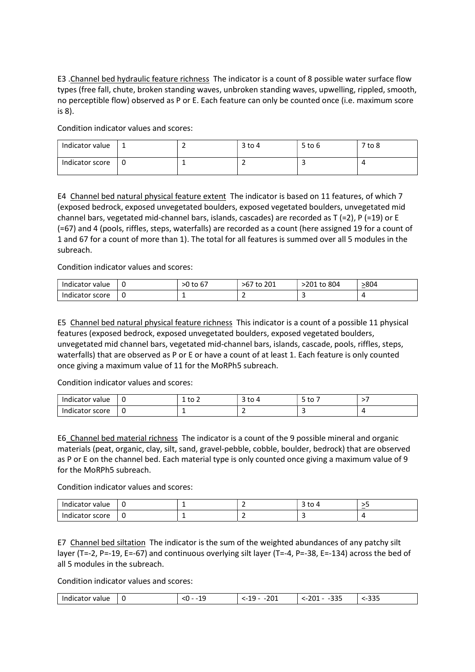E3 .Channel bed hydraulic feature richness The indicator is a count of 8 possible water surface flow types (free fall, chute, broken standing waves, unbroken standing waves, upwelling, rippled, smooth, no perceptible flow) observed as P or E. Each feature can only be counted once (i.e. maximum score is 8).

Condition indicator values and scores:

| Indicator value |  | $3$ to 4 | $5$ to $6$ | $7$ to $8$ |
|-----------------|--|----------|------------|------------|
| Indicator score |  |          |            |            |

E4 Channel bed natural physical feature extent The indicator is based on 11 features, of which 7 (exposed bedrock, exposed unvegetated boulders, exposed vegetated boulders, unvegetated mid channel bars, vegetated mid-channel bars, islands, cascades) are recorded as T (=2), P (=19) or E (=67) and 4 (pools, riffles, steps, waterfalls) are recorded as a count (here assigned 19 for a count of 1 and 67 for a count of more than 1). The total for all features is summed over all 5 modules in the subreach.

Condition indicator values and scores:

| Indicator value | u | >0 to 67 | >67<br>201<br>to | 201 to 804> | >804 |
|-----------------|---|----------|------------------|-------------|------|
| Indicator score | u |          | -                |             |      |

E5 Channel bed natural physical feature richness This indicator is a count of a possible 11 physical features (exposed bedrock, exposed unvegetated boulders, exposed vegetated boulders, unvegetated mid channel bars, vegetated mid-channel bars, islands, cascade, pools, riffles, steps, waterfalls) that are observed as P or E or have a count of at least 1. Each feature is only counted once giving a maximum value of 11 for the MoRPh5 subreach.

Condition indicator values and scores:

| Indicator<br>value | - G | $\sim$<br>ັບ<br>- | ιυ | $+ \circ$<br>ิเบ<br>$\overline{\phantom{0}}$ |  |
|--------------------|-----|-------------------|----|----------------------------------------------|--|
| score<br>Indicator | ്ധ  |                   | -  |                                              |  |

E6 Channel bed material richness The indicator is a count of the 9 possible mineral and organic materials (peat, organic, clay, silt, sand, gravel-pebble, cobble, boulder, bedrock) that are observed as P or E on the channel bed. Each material type is only counted once giving a maximum value of 9 for the MoRPh5 subreach.

Condition indicator values and scores:

| Indicator value | - U |  | ιυ | . . |
|-----------------|-----|--|----|-----|
| Indicator score | u   |  |    |     |

E7 Channel bed siltation The indicator is the sum of the weighted abundances of any patchy silt layer (T=-2, P=-19, E=-67) and continuous overlying silt layer (T=-4, P=-38, E=-134) across the bed of all 5 modules in the subreach.

| - -<br>74 I<br>.<br>--<br>$\sim$ | <b></b><br>- - -<br>$ -$<br>__ | $\sim$ $\sim$ $\sim$<br>--<br>$ \sim$<br>____<br>- - - | $\sim$ $\sim$ $\sim$<br>- - - - |  |
|----------------------------------|--------------------------------|--------------------------------------------------------|---------------------------------|--|
|----------------------------------|--------------------------------|--------------------------------------------------------|---------------------------------|--|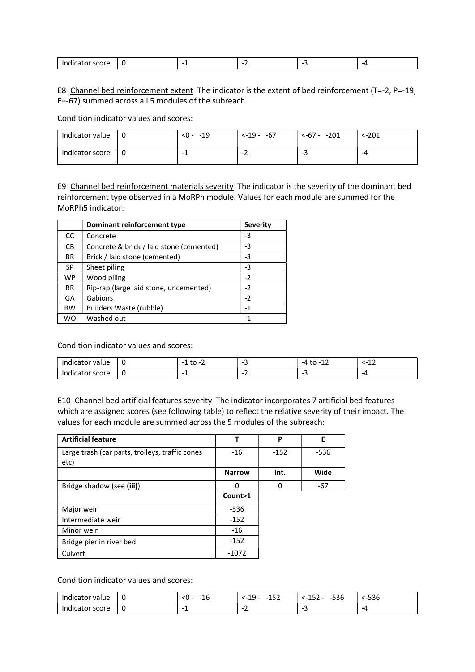| $- - - - -$<br>Indic<br>scor<br>uicatui |  |  | --- |
|-----------------------------------------|--|--|-----|

E8 Channel bed reinforcement extent The indicator is the extent of bed reinforcement (T=-2, P=-19, E=-67) summed across all 5 modules of the subreach.

Condition indicator values and scores:

| Indicator value | $< 0 - 19$ | $<-19-67$ | $<-67 - -201$ | ⊱201 |
|-----------------|------------|-----------|---------------|------|
| Indicator score | -          | -         | --            | -4   |

E9 Channel bed reinforcement materials severity The indicator is the severity of the dominant bed reinforcement type observed in a MoRPh module. Values for each module are summed for the MoRPh5 indicator:

|               | Dominant reinforcement type              | <b>Severity</b> |
|---------------|------------------------------------------|-----------------|
| <sub>CC</sub> | Concrete                                 | -3              |
| <b>CB</b>     | Concrete & brick / laid stone (cemented) | -3              |
| <b>BR</b>     | Brick / laid stone (cemented)            | -3              |
| <b>SP</b>     | Sheet piling                             | -3              |
| <b>WP</b>     | Wood piling                              | $-2$            |
| <b>RR</b>     | Rip-rap (large laid stone, uncemented)   | $-2$            |
| GA            | Gabions                                  | $-2$            |
| <b>BW</b>     | Builders Waste (rubble)                  | -1              |
| <b>WO</b>     | Washed out                               | -1              |

Condition indicator values and scores:

| Indicator<br>value | . ա | $\cdot$<br>-<br>- | --                       | . .<br>$-\mu$<br>. LO - 1<br>∸∸ | $\overline{\phantom{0}}$<br><b></b> |
|--------------------|-----|-------------------|--------------------------|---------------------------------|-------------------------------------|
| Indicator<br>score | u   | . .               | $\overline{\phantom{0}}$ |                                 | -4                                  |

E10 Channel bed artificial features severity The indicator incorporates 7 artificial bed features which are assigned scores (see following table) to reflect the relative severity of their impact. The values for each module are summed across the 5 modules of the subreach:

| <b>Artificial feature</b>                               |               | P      | E      |
|---------------------------------------------------------|---------------|--------|--------|
| Large trash (car parts, trolleys, traffic cones<br>etc) | -16           | $-152$ | $-536$ |
|                                                         | <b>Narrow</b> | Int.   | Wide   |
| Bridge shadow (see (iii))                               | O             | n      | $-67$  |
|                                                         | Count>1       |        |        |
| Major weir                                              | -536          |        |        |
| Intermediate weir                                       | $-152$        |        |        |
| Minor weir                                              | -16           |        |        |
| Bridge pier in river bed                                | $-152$        |        |        |
| Culvert                                                 | $-1072$       |        |        |

| value<br>.tor<br>ud li | L | $\overline{\phantom{a}}$<br>- -<br>Τp<br>∼<br>__ | $1 - 7$<br>.1 O<br>-<br>--<br>--- | $\Gamma \cap \Gamma$<br>$-2$<br>536<br>_____ | rac<br>סצכ- |
|------------------------|---|--------------------------------------------------|-----------------------------------|----------------------------------------------|-------------|
| score<br>iicator       | v | -<br>-                                           | $\overline{\phantom{0}}$          |                                              | -4          |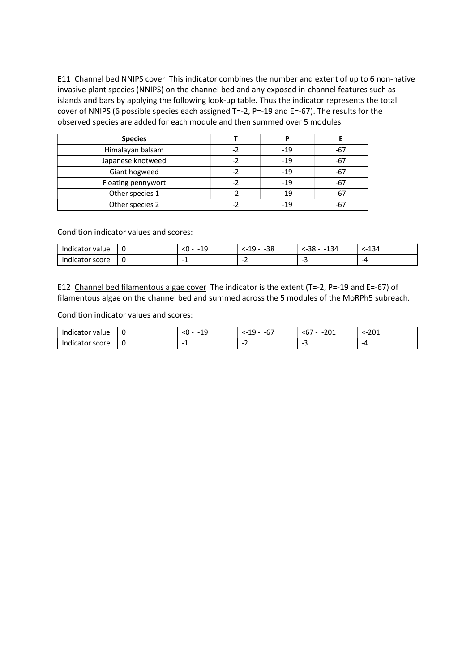E11 Channel bed NNIPS cover This indicator combines the number and extent of up to 6 non-native invasive plant species (NNIPS) on the channel bed and any exposed in-channel features such as islands and bars by applying the following look-up table. Thus the indicator represents the total cover of NNIPS (6 possible species each assigned T=-2, P=-19 and E=-67). The results for the observed species are added for each module and then summed over 5 modules.

| <b>Species</b>     |       |       |
|--------------------|-------|-------|
| Himalayan balsam   | $-19$ | -67   |
| Japanese knotweed  | $-19$ | -67   |
| Giant hogweed      | $-19$ | -67   |
| Floating pennywort | $-19$ | -67   |
| Other species 1    | $-19$ | $-67$ |
| Other species 2    | $-19$ | -61   |

Condition indicator values and scores:

| Indicator value | ັ | .10<br>مر<br>$\overline{\phantom{0}}$<br>-- | -38<br>--19<br>-- | 134<br>--38 -<br>$\sim$ | ፡-134 |
|-----------------|---|---------------------------------------------|-------------------|-------------------------|-------|
| Indicator score | ັ | -                                           | -<br>--           |                         | -4    |

E12 Channel bed filamentous algae cover The indicator is the extent (T=-2, P=-19 and E=-67) of filamentous algae on the channel bed and summed across the 5 modules of the MoRPh5 subreach.

| Indicator<br>value              | ്ധ | $\sim$<br>.<br>-- | $\overline{\phantom{a}}$<br>19<br>-ь,<br>$-1$ | <b>nn</b><br>---<br>ZUI | 1201⊱ |
|---------------------------------|----|-------------------|-----------------------------------------------|-------------------------|-------|
| Indicator<br>score <sup>.</sup> | ۰U | -                 | $\overline{\phantom{0}}$                      |                         | -4    |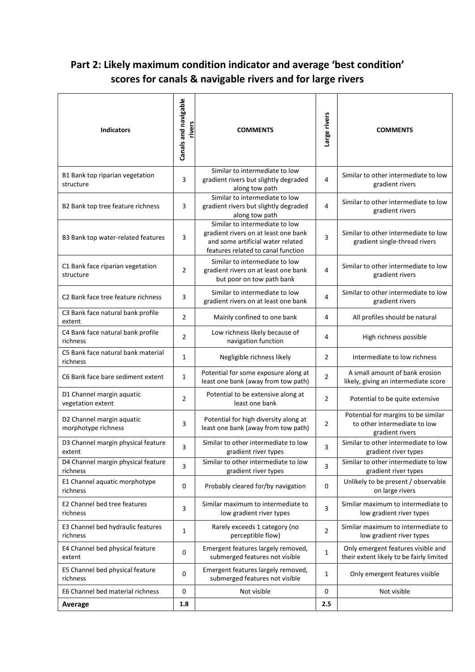## Part 2: Likely maximum condition indicator and average 'best condition' scores for canals & navigable rivers and for large rivers

| <b>Indicators</b>                                | Canals and navigable<br>rivers | <b>COMMENTS</b>                                                                                                                                   | Large rivers   | <b>COMMENTS</b>                                                                        |
|--------------------------------------------------|--------------------------------|---------------------------------------------------------------------------------------------------------------------------------------------------|----------------|----------------------------------------------------------------------------------------|
| B1 Bank top riparian vegetation<br>structure     | 3                              | Similar to intermediate to low<br>gradient rivers but slightly degraded<br>along tow path                                                         | $\overline{4}$ | Similar to other intermediate to low<br>gradient rivers                                |
| B2 Bank top tree feature richness                | 3                              | Similar to intermediate to low<br>gradient rivers but slightly degraded<br>along tow path                                                         | 4              | Similar to other intermediate to low<br>gradient rivers                                |
| B3 Bank top water-related features               | 3                              | Similar to intermediate to low<br>gradient rivers on at least one bank<br>and some artificial water related<br>features related to canal function | 3              | Similar to other intermediate to low<br>gradient single-thread rivers                  |
| C1 Bank face riparian vegetation<br>structure    | $\overline{2}$                 | Similar to intermediate to low<br>gradient rivers on at least one bank<br>but poor on tow path bank                                               | 4              | Similar to other intermediate to low<br>gradient rivers                                |
| C <sub>2</sub> Bank face tree feature richness   | 3                              | Similar to intermediate to low<br>gradient rivers on at least one bank                                                                            | $\overline{4}$ | Similar to other intermediate to low<br>gradient rivers                                |
| C3 Bank face natural bank profile<br>extent      | 2                              | Mainly confined to one bank                                                                                                                       | 4              | All profiles should be natural                                                         |
| C4 Bank face natural bank profile<br>richness    | $\overline{2}$                 | Low richness likely because of<br>navigation function                                                                                             | 4              | High richness possible                                                                 |
| C5 Bank face natural bank material<br>richness   | 1                              | Negligible richness likely                                                                                                                        | $\overline{2}$ | Intermediate to low richness                                                           |
| C6 Bank face bare sediment extent                | 1                              | Potential for some exposure along at<br>least one bank (away from tow path)                                                                       | $\overline{2}$ | A small amount of bank erosion<br>likely, giving an intermediate score                 |
| D1 Channel margin aquatic<br>vegetation extent   | $\overline{2}$                 | Potential to be extensive along at<br>least one bank                                                                                              | $\overline{2}$ | Potential to be quite extensive                                                        |
| D2 Channel margin aquatic<br>morphotype richness | 3                              | Potential for high diversity along at<br>least one bank (away from tow path)                                                                      | $\overline{2}$ | Potential for margins to be similar<br>to other intermediate to low<br>gradient rivers |
| D3 Channel margin physical feature<br>extent     | 3                              | Similar to other intermediate to low<br>gradient river types                                                                                      | 3              | Similar to other intermediate to low<br>gradient river types                           |
| D4 Channel margin physical feature<br>richness   | 3                              | Similar to other intermediate to low<br>gradient river types                                                                                      | 3              | Similar to other intermediate to low<br>gradient river types                           |
| E1 Channel aquatic morphotype<br>richness        | 0                              | Probably cleared for/by navigation                                                                                                                | 0              | Unlikely to be present / observable<br>on large rivers                                 |
| E2 Channel bed tree features<br>richness         | 3                              | Similar maximum to intermediate to<br>low gradient river types                                                                                    | 3              | Similar maximum to intermediate to<br>low gradient river types                         |
| E3 Channel bed hydraulic features<br>richness    | $\mathbf{1}$                   | Rarely exceeds 1 category (no<br>perceptible flow)                                                                                                | 2              | Similar maximum to intermediate to<br>low gradient river types                         |
| E4 Channel bed physical feature<br>extent        | 0                              | Emergent features largely removed,<br>submerged features not visible                                                                              | 1              | Only emergent features visible and<br>their extent likely to be fairly limited         |
| E5 Channel bed physical feature<br>richness      | 0                              | Emergent features largely removed,<br>submerged features not visible                                                                              | $\mathbf{1}$   | Only emergent features visible                                                         |
| E6 Channel bed material richness                 | 0                              | Not visible                                                                                                                                       | 0              | Not visible                                                                            |
| Average                                          | 1.8                            |                                                                                                                                                   | 2.5            |                                                                                        |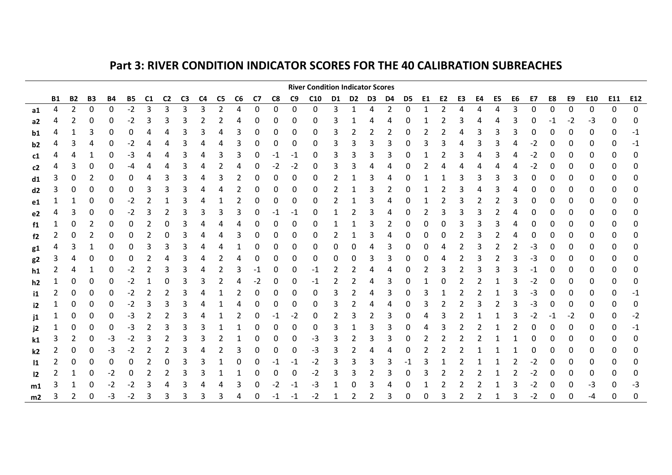## Part 3: RIVER CONDITION INDICATOR SCORES FOR THE 40 CALIBRATION SUBREACHES

|                |                |                |           |            |           |    |                |                |    |                |    |             |        |                | <b>River Condition Indicator Scores</b> |        |       |        |                |        |    |                |    |    |    |        |      |        |        |        |             | $\overline{\phantom{a}}$ |
|----------------|----------------|----------------|-----------|------------|-----------|----|----------------|----------------|----|----------------|----|-------------|--------|----------------|-----------------------------------------|--------|-------|--------|----------------|--------|----|----------------|----|----|----|--------|------|--------|--------|--------|-------------|--------------------------|
|                | <b>B1</b>      | <b>B2</b>      | <b>B3</b> | <b>B4</b>  | <b>B5</b> | C1 | C <sub>2</sub> | C <sub>3</sub> | C4 | C5             | C6 | C7          | C8     | C <sub>9</sub> | C10                                     | D1     | D2 D3 |        | D4             | D5     | E1 | E <sub>2</sub> | E3 | E4 | E5 | E6     | E7   | E8     | E9     | E10    | E11         | E12                      |
| a1             | 4              | $\overline{2}$ | 0         | 0          | $-2$      | 3  | 3              | 3              | 3  | $\overline{2}$ | 4  | $\mathbf 0$ | 0      | 0              | 0                                       | 3      | 1     | 4      | $\overline{2}$ | 0      | 1  | 2              | 4  | 4  | 4  | 3      | 0    | 0      | 0      | 0      | $\mathbf 0$ | 0                        |
| a <sub>2</sub> |                |                |           | 0          | -2        |    | 3              | 3              |    |                |    |             | 0      | 0              | 0                                       |        |       |        |                |        |    |                |    |    |    |        |      |        | -2     | -3     | 0           | 0                        |
| b1             | 4              |                | 3         | 0          | 0         |    | 4              | 3              |    |                | 3  | 0           | 0      | 0              | 0                                       | 3      |       | 2      | 2              | 0      |    |                | 4  | 3  | 3  | 3      | 0    | 0      | 0      | 0      | 0           | -1                       |
| b2             |                | 3              | 4         | 0          | $-2$      | 4  | 4              | 3              | 4  |                | 3  | 0           | 0      | 0              | 0                                       | 3      | 3     | 3      | 3              | 0      | 3  | 3              | 4  | 3  | 3  | 4      | -2   | 0      | 0      | 0      | 0           | -1                       |
| c1             |                |                |           | 0          | -3        |    |                | 3              |    |                | 3  |             | -1     | -1             | 0                                       | 3      |       | 3      |                |        |    |                |    |    | 3  |        | -2   | 0      | 0      | 0      | 0           | 0                        |
| c2             |                | 3              | 0         | 0          | -4        | 4  | 4              | 3              | 4  | 2              | 4  | 0           | $-2$   | $-2$           | 0                                       | 3      | 3     | 4      | 4              |        |    |                |    |    | 4  | 4      | -2   | 0      | 0      | 0      | 0           |                          |
| d1             | 3              | 0              | 2         | 0          | 0         | 4  | 3              | 3              | 4  | 3              | 2  | 0           | 0      | 0              | 0                                       | 2      |       | 3      | 4              | 0      |    |                | 3  | 3  | 3  | 3      | 0    | 0      | 0      | 0      | 0           | 0                        |
| d2             |                |                |           | 0          | 0         |    | 3              | 3              |    |                |    |             | 0      | 0              | 0                                       |        |       | 3      |                |        |    |                |    |    | 3  |        | 0    | 0      | 0      | 0      | 0           | 0                        |
| e1             |                |                | 0         | 0          | -2        |    |                | 3              |    |                |    | 0           | 0      | 0              | 0                                       | 2      |       | 3      |                | 0      |    |                | 3  | 2  | 2  | 3      | 0    | 0      | 0      | 0      | 0           | 0                        |
| e <sub>2</sub> | 4              | 3              | 0         | 0          | $-2$      | 3  | 2              | 3              |    | 3              | 3  | 0           | $-1$   | $-1$           | 0                                       | 1      |       | 3      | 4              | 0      | 2  | 3              |    |    |    | 4      | 0    | 0      | 0      | 0      | 0           | 0                        |
| f1             |                | 0              | 2         | 0          | 0         |    | 0              | 3              |    |                |    |             | 0      | 0              | 0                                       |        |       | 3      |                | 0      | 0  | 0              |    | 3  | 3  |        | 0    | 0      | 0      | 0      | 0           | 0                        |
| f2             | $\overline{2}$ | 0              | 2         | 0          | 0         |    | 0              | 3              |    |                | 3  |             | 0      | 0              | 0                                       | 2      |       | 3      |                | 0      | 0  | 0              |    |    |    |        | 0    | 0      | 0      | 0      | 0           | 0                        |
| g1             |                | 3              |           | 0          | 0         | 3  | 3              | 3              | 4  | 4              |    | 0           | 0      | 0              | 0                                       | 0      | 0     | 4      | 3              | 0      | 0  | 4              | 2  | 3  | 2  | 2      | -3   | 0      | 0      | 0      | 0           | 0                        |
| g2             | 3              |                | Ω         | 0          | 0         |    | 4              | 3              |    |                | 4  | O           | 0      | 0              | 0                                       | 0      | 0     | 3      | 3              | 0      | ი  | 4              |    |    | 2  | 3      | -3   | 0      | 0      | 0      | 0           | 0                        |
| h1             | 2              | 4              |           | 0          | $-2$      | 2  | 3              | 3              | 4  | 2              | 3  | -1          | 0      | 0              | $-1$                                    | 2      |       | 4      | 4              | 0      |    | 3              |    |    | 3  | 3      | -1   | 0      | 0      | 0      | 0           | 0                        |
| h <sub>2</sub> |                | 0              | 0         | 0          | $-2$      |    | 0              | 3              | 3  | 2              | 4  | $-2$        | 0      | 0              | -1                                      | 2      | 2     | 4      | 3              | 0      |    | 0              |    |    |    | З      | $-2$ | 0      | 0      | 0      | 0           | 0                        |
| i1             |                | 0              | 0         | 0          | $-2$      |    | 2              | 3              |    |                |    | 0           | 0      | 0              | 0                                       | 3      | 2     | 4      | 3              | 0      | 3  |                |    |    |    | З      | -3   | 0      | 0      | 0      | 0           | -1                       |
| i2             |                | 0              | 0         | 0          | $-2$      | 3  | 3              | 3              | 4  |                | 4  |             | 0      | 0              | 0                                       | 3      | 2     | 4      | 4              | 0      | 3  | 2              |    | 3  |    | 3<br>3 | -3   | 0      | 0      | 0      | 0           | 0                        |
| j1             |                |                | 0         | 0          | -3        | 2  | 2              | 3              | 4  |                |    |             | $-1$   | $-2$           | 0                                       | 2<br>3 |       | 2      | 3              | 0      | 4  | 3              |    |    |    |        | $-2$ | -1     | $-2$   | 0      | 0           | -2                       |
| j2             |                |                | 0         | 0          | -3        | 2  | 3              | 3              | 3  |                |    |             | 0      | 0              | 0                                       | 3      |       | 3      | 3              | 0      |    | 3              |    |    |    |        | 0    | 0      | 0      | 0      | 0           | -1                       |
| k1             | 3              | 2<br>0         | 0<br>0    | -3         | $-2$      | 3  | 2              | 3<br>3         | 4  | 2              | 3  | 0<br>0      | 0<br>0 | 0              | -3                                      | 3      |       | 3<br>4 | 4              | 0<br>0 | 2  | 2              |    | 2  |    |        | 0    | 0      | O      | 0      | 0           | 0                        |
| k2             |                |                | 0         | -3<br>0    | $-2$<br>0 | 2  | 0              | 3              | 3  |                | 0  |             |        | 0              | -3<br>-2                                | 3      |       | 3      | 3              |        | 3  |                |    |    |    | 2      | -2   | 0<br>0 | 0<br>0 | 0      | 0<br>0      | 0<br>0                   |
| 11             |                |                | 0         |            | 0         |    |                | 3              |    |                |    |             | 0      | -1<br>0        | -2                                      |        |       |        |                |        | 3  |                |    |    |    |        | -2   | 0      |        | 0<br>0 | 0           | 0                        |
| $\mathsf{I2}$  |                |                |           | $-2$<br>-2 | -2        | 3  | 4              | 3              |    |                | 3  |             | -2     | -1             | -3                                      |        |       | З      |                |        |    |                |    |    |    | З      |      | 0      |        | -3     | 0           | -3                       |
| m1             | 3              |                | ۵         | $-3$       | $-2$      | 3  | 3              | 3              |    |                |    |             | -1     |                | -2                                      |        |       | 2      | 3              | O      | 0  | 3              | 2  | 2  | 1  | 3      | $-2$ | 0      | U      | -4     | 0           | 0                        |
| m2             |                |                |           |            |           |    |                |                |    |                |    |             |        | -1             |                                         |        |       |        |                |        |    |                |    |    |    |        |      |        |        |        |             |                          |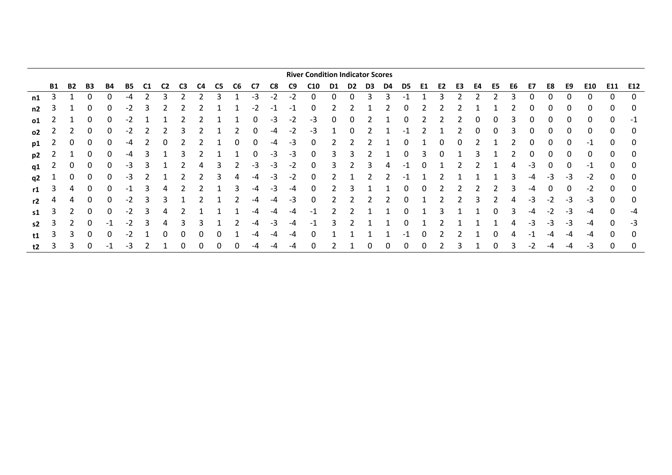|           |           |           |              |    |    |    |                |    |    |    |                |    |      |      | <b>River Condition Indicator Scores</b> |    |    |    |    |     |    |    |    |    |    |    |          |      |      |      |              |      |
|-----------|-----------|-----------|--------------|----|----|----|----------------|----|----|----|----------------|----|------|------|-----------------------------------------|----|----|----|----|-----|----|----|----|----|----|----|----------|------|------|------|--------------|------|
|           | <b>B1</b> | <b>B2</b> | B3           | B4 | B5 | CТ | C <sub>2</sub> | C3 | C4 | C5 | C <sub>6</sub> | C7 | C8   | C9   | C <sub>10</sub>                         | D1 | D2 | D3 | D4 | D5  | E1 | E2 | E3 | E4 | E5 | E6 | E7       | E8   | E9   | E10  | E11          | E12  |
| n1        | 3         |           | <sup>0</sup> | 0  | -4 |    |                |    |    | ٩  |                | -3 | -2   | -2   | 0                                       | 0  |    | 3  | Р  |     |    | Э  |    |    |    |    | 0        |      | 0    | 0    | 0            | 0    |
| n2        | 3         |           | 0            | 0  | -2 | 3  |                |    |    |    |                | -2 | -1   | -1   | 0                                       |    |    |    |    | 0   |    |    |    |    |    |    | 0        |      | 0    | 0    |              | 0    |
| 01        |           |           | 0            | 0  | -2 |    |                |    |    |    |                | 0  | -3   | -2   | -3                                      | 0  |    |    |    | 0   |    |    |    | 0  | 0  |    | $\Omega$ |      | 0    | 0    | 0            | $-1$ |
| <b>o2</b> |           |           | 0            | 0  | -2 |    |                |    |    |    |                | 0  | -4   | $-2$ | -3                                      |    |    |    |    | - 1 |    |    |    | 0  | 0  |    | 0        |      | 0    | 0    |              | 0    |
| p1        |           | 0         | 0            | 0  | -4 |    | 0              |    |    |    | 0              | 0  | -4   | -3   | 0                                       | 2  |    |    |    | 0   |    | 0  | 0  |    |    |    | 0        | 0    | 0    | -1   | <sup>0</sup> | 0    |
| p2        |           |           | 0            | 0  | -4 |    |                |    |    |    |                | 0  | -3   | -3   | 0                                       | 3  |    |    |    | 0   | 3  | 0  |    | 3  |    |    | 0        |      | 0    | 0    |              | 0    |
| q1        |           | 0         |              | 0  | -3 |    |                |    | 4  | 3  |                | -3 | $-3$ | -2   | 0                                       | 3  |    | 3  |    | -1  |    |    |    |    |    | 4  | -3       |      | 0    | $-1$ | 0            | 0    |
| q2        |           | 0         | 0            | 0  | -3 |    |                |    |    | Р  | 4              | -4 | -3   | $-2$ | 0                                       | 2  |    |    |    | -1  |    |    |    |    |    | 3  | -4       | -3   | -3   | $-2$ | 0            | 0    |
| r1        | 3         | 4         | 0            | 0  | -1 |    |                |    |    |    | 3              | -4 | -3   | -4   | 0                                       |    |    |    |    |     |    |    |    |    |    |    | -4       |      | 0    | $-2$ |              | 0    |
| r2        |           | 4         | 0            | 0  | -2 | 3  | 3              |    |    |    |                | -4 | -4   | -3   | 0                                       | 2  |    |    |    |     |    |    |    | 3  |    | 4  | -3       |      | -3   | -3   | 0            | 0    |
| s1        | 3         |           | 0            | 0  | -2 | 3  |                |    |    |    |                | -4 | -4   | -4   | -1                                      |    |    |    |    |     |    | 3  |    |    | 0  |    | -4       | $-2$ | -3   | -4   | <sup>0</sup> | -4   |
| s2        |           |           | 0            | -1 | -2 | 3  | 4              |    | 3  |    |                | -4 | -3   | -4   | $-1$                                    | 3  |    |    |    |     |    |    |    |    |    |    | $-3$     | -3   | $-3$ | -4   |              | $-3$ |
| t1        | 3         | 3         | 0            | 0  | -2 |    | 0              |    |    | 0  |                | -4 | -4   | -4   | 0                                       |    |    |    |    | -1  | 0  |    |    |    | 0  | 4  | -1       | -4   | -4   | -4   |              | 0    |
| t2        |           |           |              | -1 | -3 |    |                |    |    |    |                | -4 | -4   | -4   |                                         |    |    |    |    |     |    |    |    |    | 0  |    | -2       | -4   |      | -3   |              | 0    |